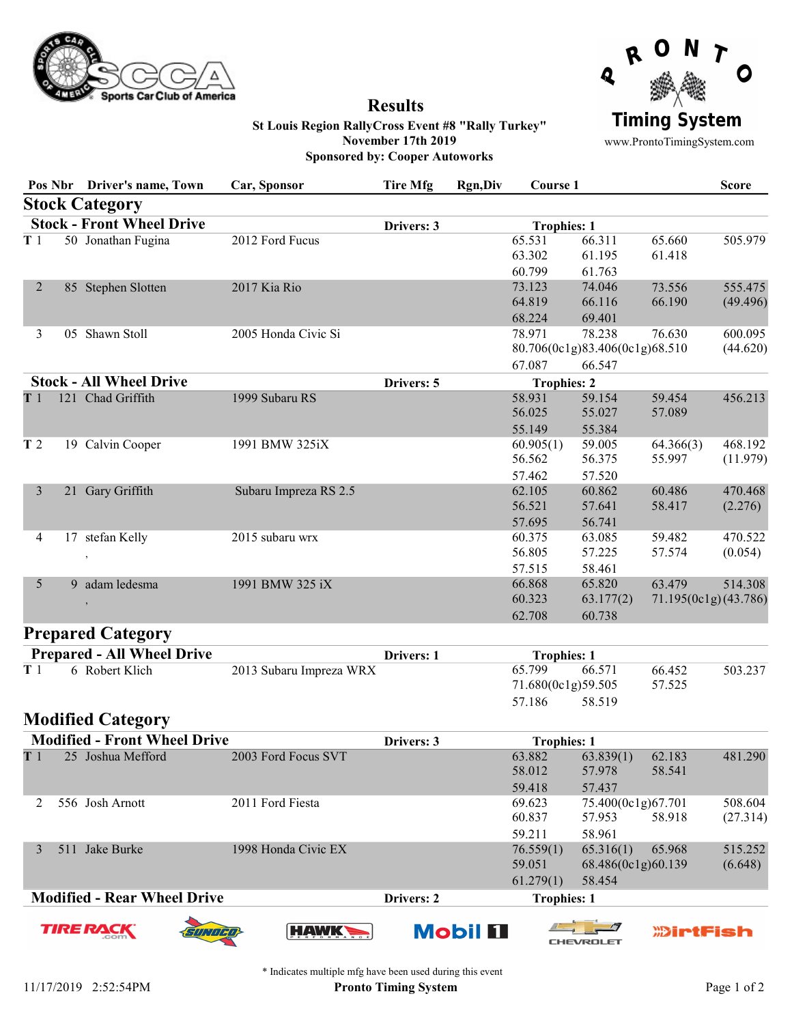

## Results



St Louis Region RallyCross Event #8 "Rally Turkey" November 17th 2019 Sponsored by: Cooper Autoworks

www.ProntoTimingSystem.com

|                                  |     | Pos Nbr Driver's name, Town | Car, Sponsor          | <b>Tire Mfg</b>                        | <b>Rgn,Div</b> | Course 1                      |                                                    |                                | <b>Score</b>        |
|----------------------------------|-----|-----------------------------|-----------------------|----------------------------------------|----------------|-------------------------------|----------------------------------------------------|--------------------------------|---------------------|
|                                  |     | <b>Stock Category</b>       |                       |                                        |                |                               |                                                    |                                |                     |
| <b>Stock - Front Wheel Drive</b> |     |                             | Drivers: 3            | <b>Trophies: 1</b>                     |                |                               |                                                    |                                |                     |
| T <sub>1</sub>                   |     | 50 Jonathan Fugina          | 2012 Ford Fucus       |                                        |                | 65.531<br>63.302              | 66.311<br>61.195                                   | 65.660<br>61.418               | 505.979             |
| 2                                |     | 85 Stephen Slotten          | 2017 Kia Rio          |                                        |                | 60.799<br>73.123<br>64.819    | 61.763<br>74.046<br>66.116                         | 73.556<br>66.190               | 555.475<br>(49.496) |
| 3                                | 0.5 | Shawn Stoll                 | 2005 Honda Civic Si   |                                        |                | 68.224<br>78.971              | 69.401<br>78.238<br>80.706(0c1g)83.406(0c1g)68.510 | 76.630                         | 600.095<br>(44.620) |
| <b>Stock - All Wheel Drive</b>   |     | Drivers: 5                  |                       | 67.087<br>66.547<br><b>Trophies: 2</b> |                |                               |                                                    |                                |                     |
| T 1                              |     | 121 Chad Griffith           | 1999 Subaru RS        |                                        |                | 58.931<br>56.025<br>55.149    | 59.154<br>55.027<br>55.384                         | 59.454<br>57.089               | 456.213             |
| T <sub>2</sub>                   |     | 19 Calvin Cooper            | 1991 BMW 325iX        |                                        |                | 60.905(1)<br>56.562<br>57.462 | 59.005<br>56.375<br>57.520                         | 64.366(3)<br>55.997            | 468.192<br>(11.979) |
| $\mathfrak{Z}$                   | 21  | Gary Griffith               | Subaru Impreza RS 2.5 |                                        |                | 62.105<br>56.521<br>57.695    | 60.862<br>57.641<br>56.741                         | 60.486<br>58.417               | 470.468<br>(2.276)  |
| $\overline{4}$                   | 17  | stefan Kelly<br>$\cdot$     | 2015 subaru wrx       |                                        |                | 60.375<br>56.805<br>57.515    | 63.085<br>57.225<br>58.461                         | 59.482<br>57.574               | 470.522<br>(0.054)  |
| $5\overline{)}$                  | 9   | adam ledesma                | 1991 BMW 325 iX       |                                        |                | 66.868<br>60.323<br>62.708    | 65.820<br>63.177(2)<br>60.738                      | 63.479<br>71.195(0c1g)(43.786) | 514.308             |

## Prepared Category

| <b>Prepared - All Wheel Drive</b> |                |                         | Drivers: 1 | <b>Trophies: 1</b> |                    |        |         |
|-----------------------------------|----------------|-------------------------|------------|--------------------|--------------------|--------|---------|
|                                   | 6 Robert Klich | 2013 Subaru Impreza WRX |            | 65.799             | 66.571             | 66.452 | 503.237 |
|                                   |                |                         |            |                    | 71.680(0c1g)59.505 | 57.525 |         |
|                                   |                |                         |            | 57.186             | 58.519             |        |         |

## Modified Category

|                                    | <b>Modified - Front Wheel Drive</b> |                     | Drivers: 3 | <b>Trophies: 1</b> |                    |        |          |
|------------------------------------|-------------------------------------|---------------------|------------|--------------------|--------------------|--------|----------|
| T <sub>1</sub>                     | 25 Joshua Mefford                   | 2003 Ford Focus SVT |            | 63.882             | 63.839(1)          | 62.183 | 481.290  |
|                                    |                                     |                     |            | 58.012             | 57.978             | 58.541 |          |
|                                    |                                     |                     |            | 59.418             | 57.437             |        |          |
|                                    | 556 Josh Arnott                     | 2011 Ford Fiesta    |            | 69.623             | 75.400(0c1g)67.701 |        | 508.604  |
|                                    |                                     |                     |            | 60.837             | 57.953             | 58.918 | (27.314) |
|                                    |                                     |                     |            | 59.211             | 58.961             |        |          |
|                                    | Jake Burke<br>511                   | 1998 Honda Civic EX |            | 76.559(1)          | 65.316(1)          | 65.968 | 515.252  |
|                                    |                                     |                     |            | 59.051             | 68.486(0c1g)60.139 |        | (6.648)  |
|                                    |                                     |                     |            | 61.279(1)          | 58.454             |        |          |
| <b>Modified - Rear Wheel Drive</b> |                                     |                     | Drivers: 2 | <b>Trophies: 1</b> |                    |        |          |

**TIRE RA** 











\* Indicates multiple mfg have been used during this event